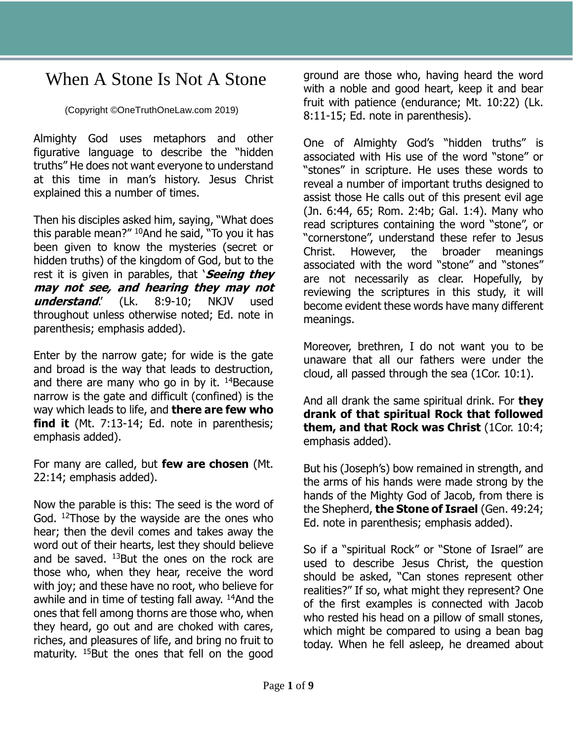## When A Stone Is Not A Stone

(Copyright ©OneTruthOneLaw.com 2019)

Almighty God uses metaphors and other figurative language to describe the "hidden truths" He does not want everyone to understand at this time in man's history. Jesus Christ explained this a number of times.

Then his disciples asked him, saying, "What does this parable mean?" <sup>10</sup>And he said, "To you it has been given to know the mysteries (secret or hidden truths) of the kingdom of God, but to the rest it is given in parables, that '**Seeing they may not see, and hearing they may not understand**.' (Lk. 8:9-10; NKJV used throughout unless otherwise noted; Ed. note in parenthesis; emphasis added).

Enter by the narrow gate; for wide is the gate and broad is the way that leads to destruction, and there are many who go in by it.  $14B$ ecause narrow is the gate and difficult (confined) is the way which leads to life, and **there are few who find it** (Mt. 7:13-14; Ed. note in parenthesis; emphasis added).

For many are called, but **few are chosen** (Mt. 22:14; emphasis added).

Now the parable is this: The seed is the word of God. <sup>12</sup>Those by the wayside are the ones who hear; then the devil comes and takes away the word out of their hearts, lest they should believe and be saved. <sup>13</sup>But the ones on the rock are those who, when they hear, receive the word with joy; and these have no root, who believe for awhile and in time of testing fall away. <sup>14</sup>And the ones that fell among thorns are those who, when they heard, go out and are choked with cares, riches, and pleasures of life, and bring no fruit to maturity. <sup>15</sup>But the ones that fell on the good

ground are those who, having heard the word with a noble and good heart, keep it and bear fruit with patience (endurance; Mt. 10:22) (Lk. 8:11-15; Ed. note in parenthesis).

One of Almighty God's "hidden truths" is associated with His use of the word "stone" or "stones" in scripture. He uses these words to reveal a number of important truths designed to assist those He calls out of this present evil age (Jn. 6:44, 65; Rom. 2:4b; Gal. 1:4). Many who read scriptures containing the word "stone", or "cornerstone", understand these refer to Jesus Christ. However, the broader meanings associated with the word "stone" and "stones" are not necessarily as clear. Hopefully, by reviewing the scriptures in this study, it will become evident these words have many different meanings.

Moreover, brethren, I do not want you to be unaware that all our fathers were under the cloud, all passed through the sea (1Cor. 10:1).

And all drank the same spiritual drink. For **they drank of that spiritual Rock that followed them, and that Rock was Christ** (1Cor. 10:4; emphasis added).

But his (Joseph's) bow remained in strength, and the arms of his hands were made strong by the hands of the Mighty God of Jacob, from there is the Shepherd, **the Stone of Israel** (Gen. 49:24; Ed. note in parenthesis; emphasis added).

So if a "spiritual Rock" or "Stone of Israel" are used to describe Jesus Christ, the question should be asked, "Can stones represent other realities?" If so, what might they represent? One of the first examples is connected with Jacob who rested his head on a pillow of small stones, which might be compared to using a bean bag today. When he fell asleep, he dreamed about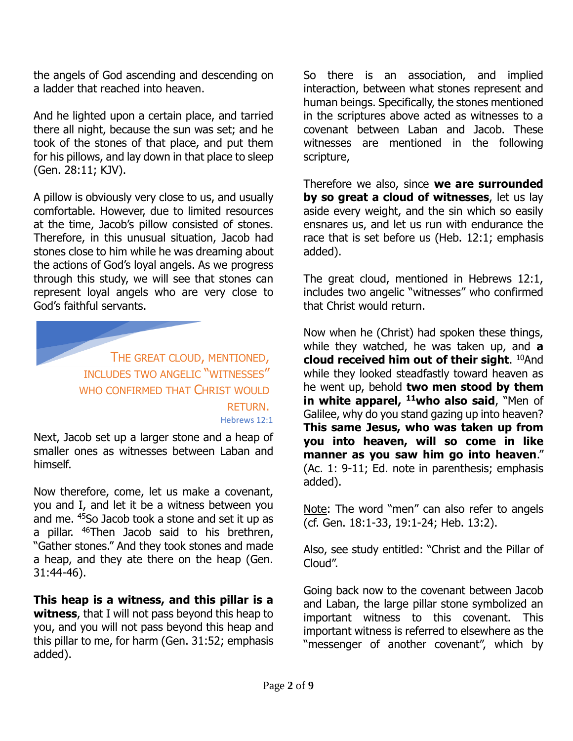the angels of God ascending and descending on a ladder that reached into heaven.

And he lighted upon a certain place, and tarried there all night, because the sun was set; and he took of the stones of that place, and put them for his pillows, and lay down in that place to sleep (Gen. 28:11; KJV).

A pillow is obviously very close to us, and usually comfortable. However, due to limited resources at the time, Jacob's pillow consisted of stones. Therefore, in this unusual situation, Jacob had stones close to him while he was dreaming about the actions of God's loyal angels. As we progress through this study, we will see that stones can represent loyal angels who are very close to God's faithful servants.

> THE GREAT CLOUD, MENTIONED, INCLUDES TWO ANGELIC "WITNESSES" WHO CONFIRMED THAT CHRIST WOULD RETURN. Hebrews 12:1

Next, Jacob set up a larger stone and a heap of smaller ones as witnesses between Laban and himself.

Now therefore, come, let us make a covenant, you and I, and let it be a witness between you and me. <sup>45</sup>So Jacob took a stone and set it up as a pillar. <sup>46</sup>Then Jacob said to his brethren, "Gather stones." And they took stones and made a heap, and they ate there on the heap (Gen. 31:44-46).

**This heap is a witness, and this pillar is a witness**, that I will not pass beyond this heap to you, and you will not pass beyond this heap and this pillar to me, for harm (Gen. 31:52; emphasis added).

So there is an association, and implied interaction, between what stones represent and human beings. Specifically, the stones mentioned in the scriptures above acted as witnesses to a covenant between Laban and Jacob. These witnesses are mentioned in the following scripture,

Therefore we also, since **we are surrounded by so great a cloud of witnesses**, let us lay aside every weight, and the sin which so easily ensnares us, and let us run with endurance the race that is set before us (Heb. 12:1; emphasis added).

The great cloud, mentioned in Hebrews 12:1, includes two angelic "witnesses" who confirmed that Christ would return.

Now when he (Christ) had spoken these things, while they watched, he was taken up, and **a cloud received him out of their sight**. <sup>10</sup>And while they looked steadfastly toward heaven as he went up, behold **two men stood by them in white apparel, <sup>11</sup>who also said**, "Men of Galilee, why do you stand gazing up into heaven? **This same Jesus, who was taken up from you into heaven, will so come in like manner as you saw him go into heaven**." (Ac. 1: 9-11; Ed. note in parenthesis; emphasis added).

Note: The word "men" can also refer to angels (cf. Gen. 18:1-33, 19:1-24; Heb. 13:2).

Also, see study entitled: "Christ and the Pillar of Cloud".

Going back now to the covenant between Jacob and Laban, the large pillar stone symbolized an important witness to this covenant. This important witness is referred to elsewhere as the "messenger of another covenant", which by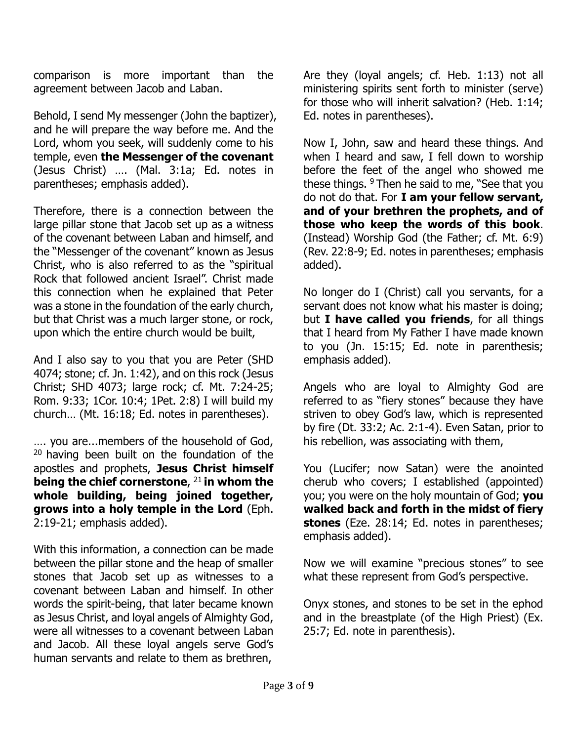comparison is more important than the agreement between Jacob and Laban.

Behold, I send My messenger (John the baptizer), and he will prepare the way before me. And the Lord, whom you seek, will suddenly come to his temple, even **the Messenger of the covenant** (Jesus Christ) …. (Mal. 3:1a; Ed. notes in parentheses; emphasis added).

Therefore, there is a connection between the large pillar stone that Jacob set up as a witness of the covenant between Laban and himself, and the "Messenger of the covenant" known as Jesus Christ, who is also referred to as the "spiritual Rock that followed ancient Israel". Christ made this connection when he explained that Peter was a stone in the foundation of the early church, but that Christ was a much larger stone, or rock, upon which the entire church would be built,

And I also say to you that you are Peter (SHD 4074; stone; cf. Jn. 1:42), and on this rock (Jesus Christ; SHD 4073; large rock; cf. Mt. 7:24-25; Rom. 9:33; 1Cor. 10:4; 1Pet. 2:8) I will build my church… (Mt. 16:18; Ed. notes in parentheses).

…. you are...members of the household of God,  $20$  having been built on the foundation of the apostles and prophets, **Jesus Christ himself being the chief cornerstone**, <sup>21</sup>**in whom the whole building, being joined together, grows into a holy temple in the Lord** (Eph. 2:19-21; emphasis added).

With this information, a connection can be made between the pillar stone and the heap of smaller stones that Jacob set up as witnesses to a covenant between Laban and himself. In other words the spirit-being, that later became known as Jesus Christ, and loyal angels of Almighty God, were all witnesses to a covenant between Laban and Jacob. All these loyal angels serve God's human servants and relate to them as brethren,

Are they (loyal angels; cf. Heb. 1:13) not all ministering spirits sent forth to minister (serve) for those who will inherit salvation? (Heb. 1:14; Ed. notes in parentheses).

Now I, John, saw and heard these things. And when I heard and saw, I fell down to worship before the feet of the angel who showed me these things. <sup>9</sup> Then he said to me, "See that you do not do that. For **I am your fellow servant, and of your brethren the prophets, and of those who keep the words of this book**. (Instead) Worship God (the Father; cf. Mt. 6:9) (Rev. 22:8-9; Ed. notes in parentheses; emphasis added).

No longer do I (Christ) call you servants, for a servant does not know what his master is doing; but **I have called you friends**, for all things that I heard from My Father I have made known to you (Jn. 15:15; Ed. note in parenthesis; emphasis added).

Angels who are loyal to Almighty God are referred to as "fiery stones" because they have striven to obey God's law, which is represented by fire (Dt. 33:2; Ac. 2:1-4). Even Satan, prior to his rebellion, was associating with them,

You (Lucifer; now Satan) were the anointed cherub who covers; I established (appointed) you; you were on the holy mountain of God; **you walked back and forth in the midst of fiery stones** (Eze. 28:14; Ed. notes in parentheses; emphasis added).

Now we will examine "precious stones" to see what these represent from God's perspective.

Onyx stones, and stones to be set in the ephod and in the breastplate (of the High Priest) (Ex. 25:7; Ed. note in parenthesis).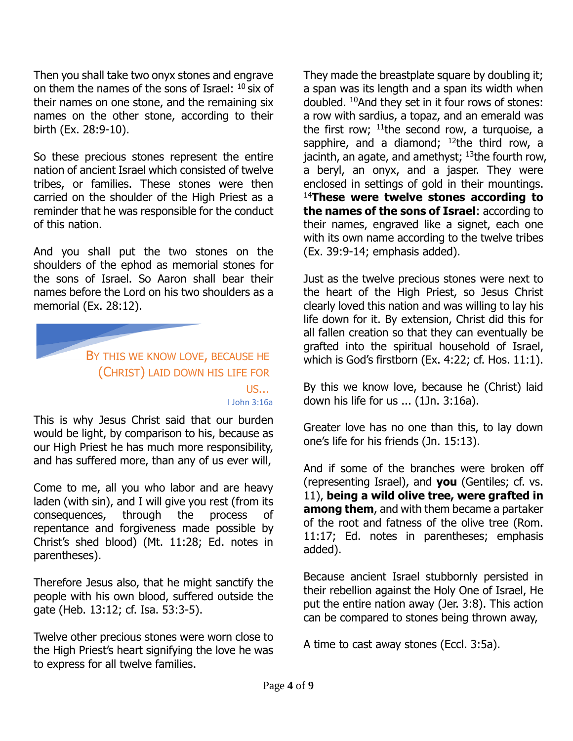Then you shall take two onyx stones and engrave on them the names of the sons of Israel:  $^{10}$  six of their names on one stone, and the remaining six names on the other stone, according to their birth (Ex. 28:9-10).

So these precious stones represent the entire nation of ancient Israel which consisted of twelve tribes, or families. These stones were then carried on the shoulder of the High Priest as a reminder that he was responsible for the conduct of this nation.

And you shall put the two stones on the shoulders of the ephod as memorial stones for the sons of Israel. So Aaron shall bear their names before the Lord on his two shoulders as a memorial (Ex. 28:12).

> BY THIS WE KNOW LOVE, BECAUSE HE (CHRIST) LAID DOWN HIS LIFE FOR US… I John 3:16a

This is why Jesus Christ said that our burden would be light, by comparison to his, because as our High Priest he has much more responsibility, and has suffered more, than any of us ever will,

Come to me, all you who labor and are heavy laden (with sin), and I will give you rest (from its consequences, through the process of repentance and forgiveness made possible by Christ's shed blood) (Mt. 11:28; Ed. notes in parentheses).

Therefore Jesus also, that he might sanctify the people with his own blood, suffered outside the gate (Heb. 13:12; cf. Isa. 53:3-5).

Twelve other precious stones were worn close to the High Priest's heart signifying the love he was to express for all twelve families.

They made the breastplate square by doubling it; a span was its length and a span its width when doubled. <sup>10</sup>And they set in it four rows of stones: a row with sardius, a topaz, and an emerald was the first row;  $11$ <sup>the</sup> second row, a turquoise, a sapphire, and a diamond;  $12$ the third row, a jacinth, an agate, and amethyst;  $13$ the fourth row, a beryl, an onyx, and a jasper. They were enclosed in settings of gold in their mountings. <sup>14</sup>**These were twelve stones according to the names of the sons of Israel**: according to their names, engraved like a signet, each one with its own name according to the twelve tribes (Ex. 39:9-14; emphasis added).

Just as the twelve precious stones were next to the heart of the High Priest, so Jesus Christ clearly loved this nation and was willing to lay his life down for it. By extension, Christ did this for all fallen creation so that they can eventually be grafted into the spiritual household of Israel, which is God's firstborn (Ex. 4:22; cf. Hos. 11:1).

By this we know love, because he (Christ) laid down his life for us ... (1Jn. 3:16a).

Greater love has no one than this, to lay down one's life for his friends (Jn. 15:13).

And if some of the branches were broken off (representing Israel), and **you** (Gentiles; cf. vs. 11), **being a wild olive tree, were grafted in among them**, and with them became a partaker of the root and fatness of the olive tree (Rom. 11:17; Ed. notes in parentheses; emphasis added).

Because ancient Israel stubbornly persisted in their rebellion against the Holy One of Israel, He put the entire nation away (Jer. 3:8). This action can be compared to stones being thrown away,

A time to cast away stones (Eccl. 3:5a).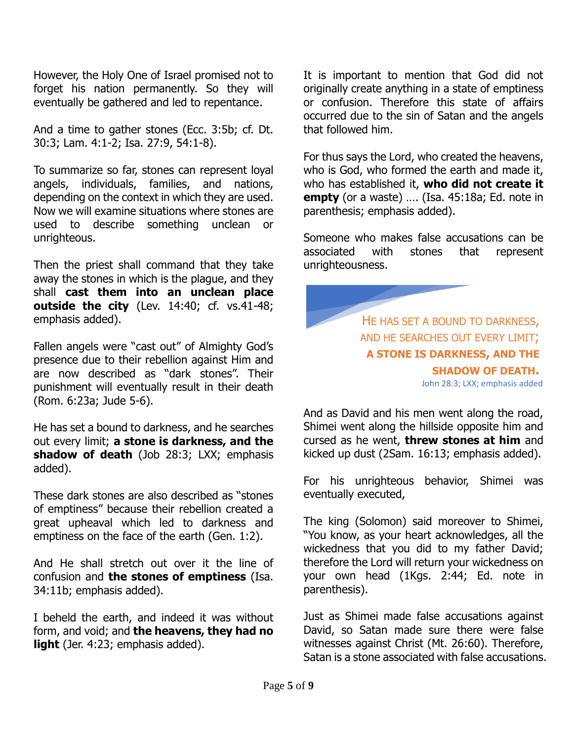However, the Holy One of Israel promised not to forget his nation permanently. So they will eventually be gathered and led to repentance.

And a time to gather stones (Ecc. 3:5b; cf. Dt. 30:3; Lam. 4:1-2; Isa. 27:9, 54:1-8).

To summarize so far, stones can represent loyal angels, individuals, families, and nations, depending on the context in which they are used. Now we will examine situations where stones are used to describe something unclean or unrighteous.

Then the priest shall command that they take away the stones in which is the plague, and they shall **cast them into an unclean place outside the city** (Lev. 14:40; cf. vs.41-48; emphasis added).

Fallen angels were "cast out" of Almighty God's presence due to their rebellion against Him and are now described as "dark stones". Their punishment will eventually result in their death (Rom. 6:23a; Jude 5-6).

He has set a bound to darkness, and he searches out every limit; **a stone is darkness, and the shadow of death** (Job 28:3; LXX; emphasis added).

These dark stones are also described as "stones of emptiness" because their rebellion created a great upheaval which led to darkness and emptiness on the face of the earth (Gen. 1:2).

And He shall stretch out over it the line of confusion and **the stones of emptiness** (Isa. 34:11b; emphasis added).

I beheld the earth, and indeed it was without form, and void; and **the heavens, they had no**  light (Jer. 4:23; emphasis added).

It is important to mention that God did not originally create anything in a state of emptiness or confusion. Therefore this state of affairs occurred due to the sin of Satan and the angels that followed him.

For thus says the Lord, who created the heavens, who is God, who formed the earth and made it, who has established it, **who did not create it empty** (or a waste) …. (Isa. 45:18a; Ed. note in parenthesis; emphasis added).

Someone who makes false accusations can be associated with stones that represent unrighteousness.



And as David and his men went along the road, Shimei went along the hillside opposite him and cursed as he went, **threw stones at him** and kicked up dust (2Sam. 16:13; emphasis added).

For his unrighteous behavior, Shimei was eventually executed,

The king (Solomon) said moreover to Shimei, "You know, as your heart acknowledges, all the wickedness that you did to my father David; therefore the Lord will return your wickedness on your own head (1Kgs. 2:44; Ed. note in parenthesis).

Just as Shimei made false accusations against David, so Satan made sure there were false witnesses against Christ (Mt. 26:60). Therefore, Satan is a stone associated with false accusations.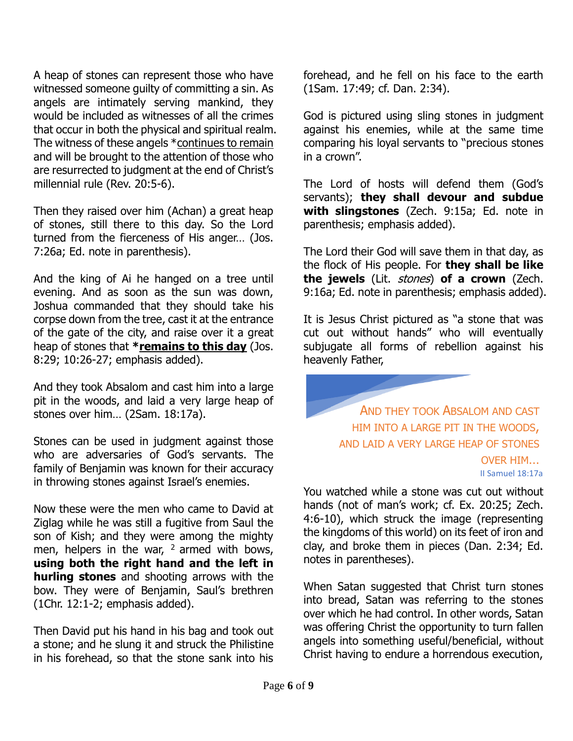A heap of stones can represent those who have witnessed someone quilty of committing a sin. As angels are intimately serving mankind, they would be included as witnesses of all the crimes that occur in both the physical and spiritual realm. The witness of these angels \*continues to remain and will be brought to the attention of those who are resurrected to judgment at the end of Christ's millennial rule (Rev. 20:5-6).

Then they raised over him (Achan) a great heap of stones, still there to this day. So the Lord turned from the fierceness of His anger… (Jos. 7:26a; Ed. note in parenthesis).

And the king of Ai he hanged on a tree until evening. And as soon as the sun was down, Joshua commanded that they should take his corpse down from the tree, cast it at the entrance of the gate of the city, and raise over it a great heap of stones that **\*remains to this day** (Jos. 8:29; 10:26-27; emphasis added).

And they took Absalom and cast him into a large pit in the woods, and laid a very large heap of stones over him… (2Sam. 18:17a).

Stones can be used in judgment against those who are adversaries of God's servants. The family of Benjamin was known for their accuracy in throwing stones against Israel's enemies.

Now these were the men who came to David at Ziglag while he was still a fugitive from Saul the son of Kish; and they were among the mighty men, helpers in the war,  $2$  armed with bows, **using both the right hand and the left in hurling stones** and shooting arrows with the bow. They were of Benjamin, Saul's brethren (1Chr. 12:1-2; emphasis added).

Then David put his hand in his bag and took out a stone; and he slung it and struck the Philistine in his forehead, so that the stone sank into his forehead, and he fell on his face to the earth (1Sam. 17:49; cf. Dan. 2:34).

God is pictured using sling stones in judgment against his enemies, while at the same time comparing his loyal servants to "precious stones in a crown".

The Lord of hosts will defend them (God's servants); **they shall devour and subdue with slingstones** (Zech. 9:15a; Ed. note in parenthesis; emphasis added).

The Lord their God will save them in that day, as the flock of His people. For **they shall be like the jewels** (Lit. stones) **of a crown** (Zech. 9:16a; Ed. note in parenthesis; emphasis added).

It is Jesus Christ pictured as "a stone that was cut out without hands" who will eventually subjugate all forms of rebellion against his heavenly Father,

AND THEY TOOK ABSALOM AND CAST HIM INTO A LARGE PIT IN THE WOODS, AND LAID A VERY LARGE HEAP OF STONES OVER HIM… II Samuel 18:17a

You watched while a stone was cut out without hands (not of man's work; cf. Ex. 20:25; Zech. 4:6-10), which struck the image (representing the kingdoms of this world) on its feet of iron and clay, and broke them in pieces (Dan. 2:34; Ed. notes in parentheses).

When Satan suggested that Christ turn stones into bread, Satan was referring to the stones over which he had control. In other words, Satan was offering Christ the opportunity to turn fallen angels into something useful/beneficial, without Christ having to endure a horrendous execution,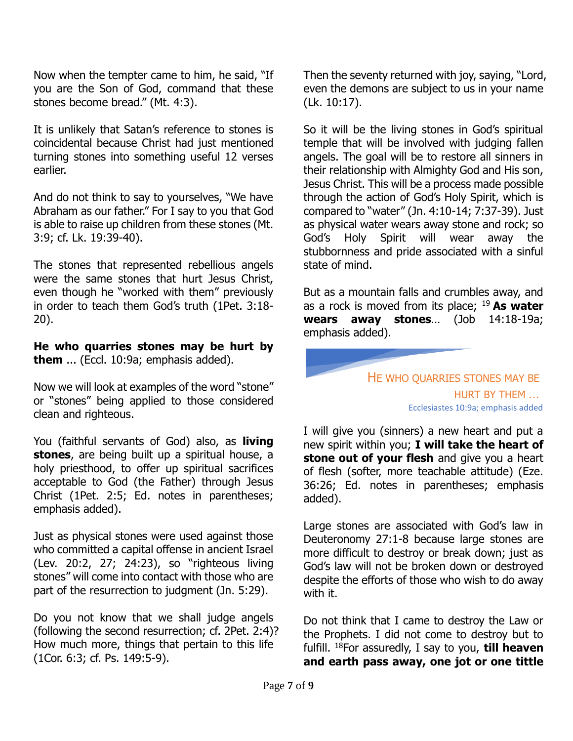Now when the tempter came to him, he said, "If you are the Son of God, command that these stones become bread." (Mt. 4:3).

It is unlikely that Satan's reference to stones is coincidental because Christ had just mentioned turning stones into something useful 12 verses earlier.

And do not think to say to yourselves, "We have Abraham as our father." For I say to you that God is able to raise up children from these stones (Mt. 3:9; cf. Lk. 19:39-40).

The stones that represented rebellious angels were the same stones that hurt Jesus Christ, even though he "worked with them" previously in order to teach them God's truth (1Pet. 3:18- 20).

**He who quarries stones may be hurt by them** ... (Eccl. 10:9a; emphasis added).

Now we will look at examples of the word "stone" or "stones" being applied to those considered clean and righteous.

You (faithful servants of God) also, as **living stones**, are being built up a spiritual house, a holy priesthood, to offer up spiritual sacrifices acceptable to God (the Father) through Jesus Christ (1Pet. 2:5; Ed. notes in parentheses; emphasis added).

Just as physical stones were used against those who committed a capital offense in ancient Israel (Lev. 20:2, 27; 24:23), so "righteous living stones" will come into contact with those who are part of the resurrection to judgment (Jn. 5:29).

Do you not know that we shall judge angels (following the second resurrection; cf. 2Pet. 2:4)? How much more, things that pertain to this life (1Cor. 6:3; cf. Ps. 149:5-9).

Then the seventy returned with joy, saying, "Lord, even the demons are subject to us in your name (Lk. 10:17).

So it will be the living stones in God's spiritual temple that will be involved with judging fallen angels. The goal will be to restore all sinners in their relationship with Almighty God and His son, Jesus Christ. This will be a process made possible through the action of God's Holy Spirit, which is compared to "water" (Jn. 4:10-14; 7:37-39). Just as physical water wears away stone and rock; so God's Holy Spirit will wear away the stubbornness and pride associated with a sinful state of mind.

But as a mountain falls and crumbles away, and as a rock is moved from its place; <sup>19</sup>**As water wears away stones**… (Job 14:18-19a; emphasis added).



I will give you (sinners) a new heart and put a new spirit within you; **I will take the heart of stone out of your flesh** and give you a heart of flesh (softer, more teachable attitude) (Eze. 36:26; Ed. notes in parentheses; emphasis added).

Large stones are associated with God's law in Deuteronomy 27:1-8 because large stones are more difficult to destroy or break down; just as God's law will not be broken down or destroyed despite the efforts of those who wish to do away with it.

Do not think that I came to destroy the Law or the Prophets. I did not come to destroy but to fulfill. <sup>18</sup>For assuredly, I say to you, **till heaven and earth pass away, one jot or one tittle**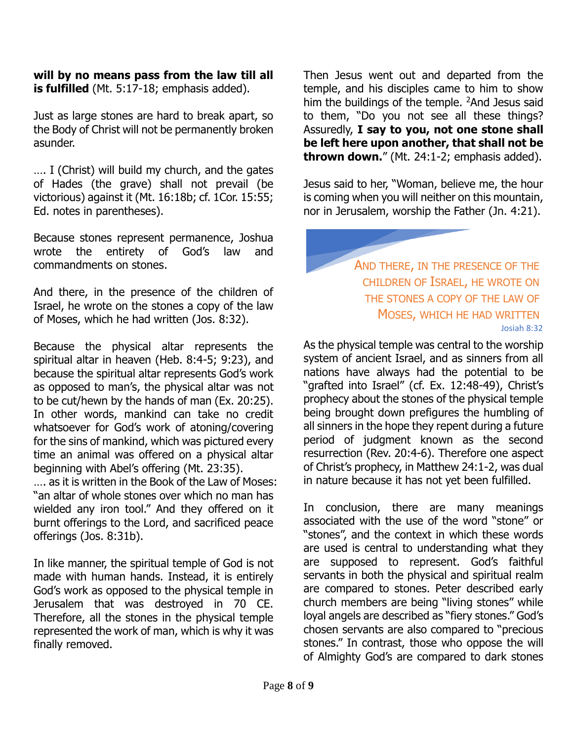**will by no means pass from the law till all is fulfilled** (Mt. 5:17-18; emphasis added).

Just as large stones are hard to break apart, so the Body of Christ will not be permanently broken asunder.

…. I (Christ) will build my church, and the gates of Hades (the grave) shall not prevail (be victorious) against it (Mt. 16:18b; cf. 1Cor. 15:55; Ed. notes in parentheses).

Because stones represent permanence, Joshua wrote the entirety of God's law and commandments on stones.

And there, in the presence of the children of Israel, he wrote on the stones a copy of the law of Moses, which he had written (Jos. 8:32).

Because the physical altar represents the spiritual altar in heaven (Heb. 8:4-5; 9:23), and because the spiritual altar represents God's work as opposed to man's, the physical altar was not to be cut/hewn by the hands of man (Ex. 20:25). In other words, mankind can take no credit whatsoever for God's work of atoning/covering for the sins of mankind, which was pictured every time an animal was offered on a physical altar beginning with Abel's offering (Mt. 23:35).

…. as it is written in the Book of the Law of Moses: "an altar of whole stones over which no man has wielded any iron tool." And they offered on it burnt offerings to the Lord, and sacrificed peace offerings (Jos. 8:31b).

In like manner, the spiritual temple of God is not made with human hands. Instead, it is entirely God's work as opposed to the physical temple in Jerusalem that was destroyed in 70 CE. Therefore, all the stones in the physical temple represented the work of man, which is why it was finally removed.

Then Jesus went out and departed from the temple, and his disciples came to him to show him the buildings of the temple. <sup>2</sup>And Jesus said to them, "Do you not see all these things? Assuredly, **I say to you, not one stone shall be left here upon another, that shall not be thrown down.**" (Mt. 24:1-2; emphasis added).

Jesus said to her, "Woman, believe me, the hour is coming when you will neither on this mountain, nor in Jerusalem, worship the Father (Jn. 4:21).

> AND THERE, IN THE PRESENCE OF THE CHILDREN OF ISRAEL, HE WROTE ON THE STONES A COPY OF THE LAW OF MOSES, WHICH HE HAD WRITTEN Josiah 8:32

As the physical temple was central to the worship system of ancient Israel, and as sinners from all nations have always had the potential to be "grafted into Israel" (cf. Ex. 12:48-49), Christ's prophecy about the stones of the physical temple being brought down prefigures the humbling of all sinners in the hope they repent during a future period of judgment known as the second resurrection (Rev. 20:4-6). Therefore one aspect of Christ's prophecy, in Matthew 24:1-2, was dual in nature because it has not yet been fulfilled.

In conclusion, there are many meanings associated with the use of the word "stone" or "stones", and the context in which these words are used is central to understanding what they are supposed to represent. God's faithful servants in both the physical and spiritual realm are compared to stones. Peter described early church members are being "living stones" while loyal angels are described as "fiery stones." God's chosen servants are also compared to "precious stones." In contrast, those who oppose the will of Almighty God's are compared to dark stones